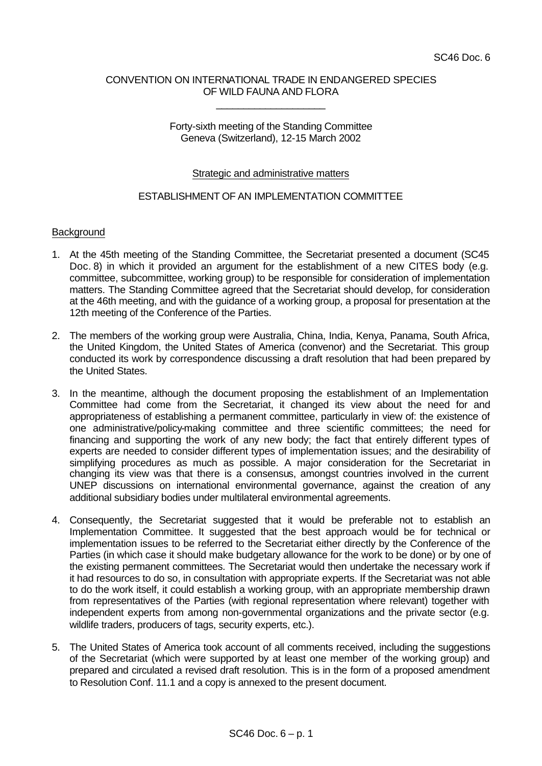## CONVENTION ON INTERNATIONAL TRADE IN ENDANGERED SPECIES OF WILD FAUNA AND FLORA

\_\_\_\_\_\_\_\_\_\_\_\_\_\_\_\_\_\_\_\_

## Forty-sixth meeting of the Standing Committee Geneva (Switzerland), 12-15 March 2002

## Strategic and administrative matters

# ESTABLISHMENT OF AN IMPLEMENTATION COMMITTEE

### **Background**

- 1. At the 45th meeting of the Standing Committee, the Secretariat presented a document (SC45 Doc. 8) in which it provided an argument for the establishment of a new CITES body (e.g. committee, subcommittee, working group) to be responsible for consideration of implementation matters. The Standing Committee agreed that the Secretariat should develop, for consideration at the 46th meeting, and with the guidance of a working group, a proposal for presentation at the 12th meeting of the Conference of the Parties.
- 2. The members of the working group were Australia, China, India, Kenya, Panama, South Africa, the United Kingdom, the United States of America (convenor) and the Secretariat. This group conducted its work by correspondence discussing a draft resolution that had been prepared by the United States.
- 3. In the meantime, although the document proposing the establishment of an Implementation Committee had come from the Secretariat, it changed its view about the need for and appropriateness of establishing a permanent committee, particularly in view of: the existence of one administrative/policy-making committee and three scientific committees; the need for financing and supporting the work of any new body; the fact that entirely different types of experts are needed to consider different types of implementation issues; and the desirability of simplifying procedures as much as possible. A major consideration for the Secretariat in changing its view was that there is a consensus, amongst countries involved in the current UNEP discussions on international environmental governance, against the creation of any additional subsidiary bodies under multilateral environmental agreements.
- 4. Consequently, the Secretariat suggested that it would be preferable not to establish an Implementation Committee. It suggested that the best approach would be for technical or implementation issues to be referred to the Secretariat either directly by the Conference of the Parties (in which case it should make budgetary allowance for the work to be done) or by one of the existing permanent committees. The Secretariat would then undertake the necessary work if it had resources to do so, in consultation with appropriate experts. If the Secretariat was not able to do the work itself, it could establish a working group, with an appropriate membership drawn from representatives of the Parties (with regional representation where relevant) together with independent experts from among non-governmental organizations and the private sector (e.g. wildlife traders, producers of tags, security experts, etc.).
- 5. The United States of America took account of all comments received, including the suggestions of the Secretariat (which were supported by at least one member of the working group) and prepared and circulated a revised draft resolution. This is in the form of a proposed amendment to Resolution Conf. 11.1 and a copy is annexed to the present document.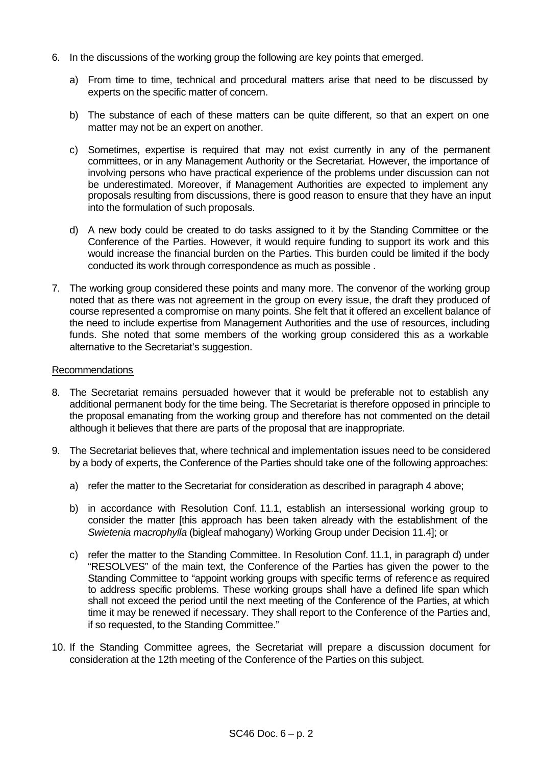- 6. In the discussions of the working group the following are key points that emerged.
	- a) From time to time, technical and procedural matters arise that need to be discussed by experts on the specific matter of concern.
	- b) The substance of each of these matters can be quite different, so that an expert on one matter may not be an expert on another.
	- c) Sometimes, expertise is required that may not exist currently in any of the permanent committees, or in any Management Authority or the Secretariat. However, the importance of involving persons who have practical experience of the problems under discussion can not be underestimated. Moreover, if Management Authorities are expected to implement any proposals resulting from discussions, there is good reason to ensure that they have an input into the formulation of such proposals.
	- d) A new body could be created to do tasks assigned to it by the Standing Committee or the Conference of the Parties. However, it would require funding to support its work and this would increase the financial burden on the Parties. This burden could be limited if the body conducted its work through correspondence as much as possible .
- 7. The working group considered these points and many more. The convenor of the working group noted that as there was not agreement in the group on every issue, the draft they produced of course represented a compromise on many points. She felt that it offered an excellent balance of the need to include expertise from Management Authorities and the use of resources, including funds. She noted that some members of the working group considered this as a workable alternative to the Secretariat's suggestion.

### Recommendations

- 8. The Secretariat remains persuaded however that it would be preferable not to establish any additional permanent body for the time being. The Secretariat is therefore opposed in principle to the proposal emanating from the working group and therefore has not commented on the detail although it believes that there are parts of the proposal that are inappropriate.
- 9. The Secretariat believes that, where technical and implementation issues need to be considered by a body of experts, the Conference of the Parties should take one of the following approaches:
	- a) refer the matter to the Secretariat for consideration as described in paragraph 4 above;
	- b) in accordance with Resolution Conf. 11.1, establish an intersessional working group to consider the matter [this approach has been taken already with the establishment of the *Swietenia macrophylla* (bigleaf mahogany) Working Group under Decision 11.4]; or
	- c) refer the matter to the Standing Committee. In Resolution Conf. 11.1, in paragraph d) under "RESOLVES" of the main text, the Conference of the Parties has given the power to the Standing Committee to "appoint working groups with specific terms of reference as required to address specific problems. These working groups shall have a defined life span which shall not exceed the period until the next meeting of the Conference of the Parties, at which time it may be renewed if necessary. They shall report to the Conference of the Parties and, if so requested, to the Standing Committee."
- 10. If the Standing Committee agrees, the Secretariat will prepare a discussion document for consideration at the 12th meeting of the Conference of the Parties on this subject.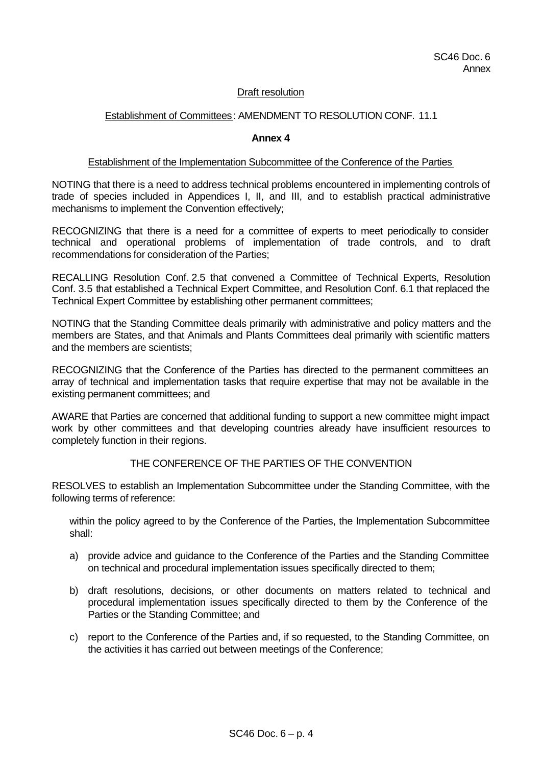## Draft resolution

# Establishment of Committees: AMENDMENT TO RESOLUTION CONF. 11.1

#### **Annex 4**

#### Establishment of the Implementation Subcommittee of the Conference of the Parties

NOTING that there is a need to address technical problems encountered in implementing controls of trade of species included in Appendices I, II, and III, and to establish practical administrative mechanisms to implement the Convention effectively;

RECOGNIZING that there is a need for a committee of experts to meet periodically to consider technical and operational problems of implementation of trade controls, and to draft recommendations for consideration of the Parties;

RECALLING Resolution Conf. 2.5 that convened a Committee of Technical Experts, Resolution Conf. 3.5 that established a Technical Expert Committee, and Resolution Conf. 6.1 that replaced the Technical Expert Committee by establishing other permanent committees;

NOTING that the Standing Committee deals primarily with administrative and policy matters and the members are States, and that Animals and Plants Committees deal primarily with scientific matters and the members are scientists;

RECOGNIZING that the Conference of the Parties has directed to the permanent committees an array of technical and implementation tasks that require expertise that may not be available in the existing permanent committees; and

AWARE that Parties are concerned that additional funding to support a new committee might impact work by other committees and that developing countries already have insufficient resources to completely function in their regions.

## THE CONFERENCE OF THE PARTIES OF THE CONVENTION

RESOLVES to establish an Implementation Subcommittee under the Standing Committee, with the following terms of reference:

within the policy agreed to by the Conference of the Parties, the Implementation Subcommittee shall:

- a) provide advice and guidance to the Conference of the Parties and the Standing Committee on technical and procedural implementation issues specifically directed to them;
- b) draft resolutions, decisions, or other documents on matters related to technical and procedural implementation issues specifically directed to them by the Conference of the Parties or the Standing Committee; and
- c) report to the Conference of the Parties and, if so requested, to the Standing Committee, on the activities it has carried out between meetings of the Conference;